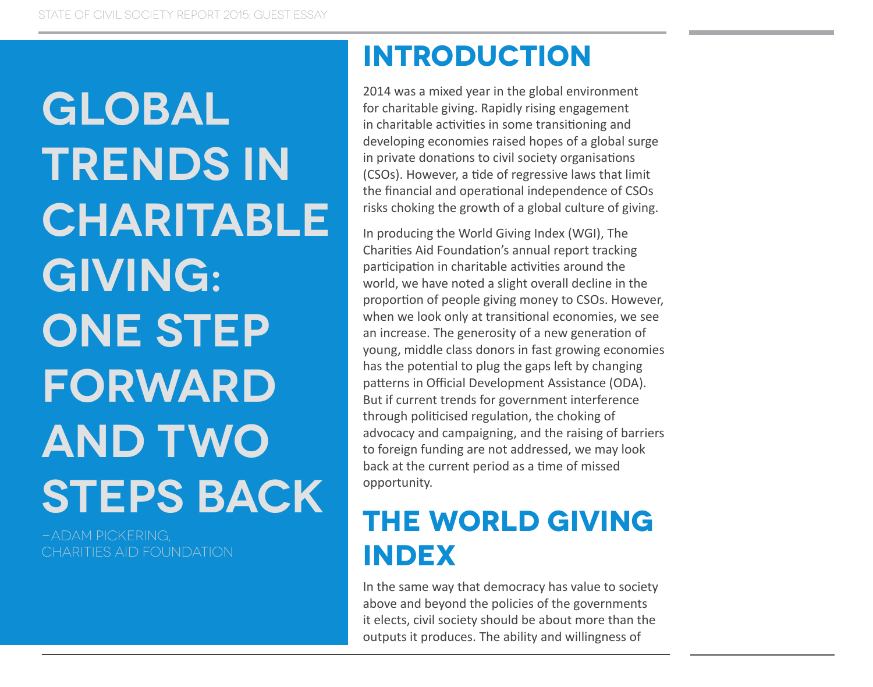**Global TRENDS IN charitable giving: one step forward and two steps back**

-Adam Pickering, CHARITIES AID FOUNDATION

### **Introduction**

2014 was a mixed year in the global environment for charitable giving. Rapidly rising engagement in charitable activities in some transitioning and developing economies raised hopes of a global surge in private donations to civil society organisations (CSOs). However, a tide of regressive laws that limit the financial and operational independence of CSOs risks choking the growth of a global culture of giving.

In producing the World Giving Index (WGI), The Charities Aid Foundation's annual report tracking participation in charitable activities around the world, we have noted a slight overall decline in the proportion of people giving money to CSOs. However, when we look only at transitional economies, we see an increase. The generosity of a new generation of young, middle class donors in fast growing economies has the potential to plug the gaps left by changing patterns in Official Development Assistance (ODA). But if current trends for government interference through politicised regulation, the choking of advocacy and campaigning, and the raising of barriers to foreign funding are not addressed, we may look back at the current period as a time of missed opportunity.

# **The World Giving Index**

In the same way that democracy has value to society above and beyond the policies of the governments it elects, civil society should be about more than the outputs it produces. The ability and willingness of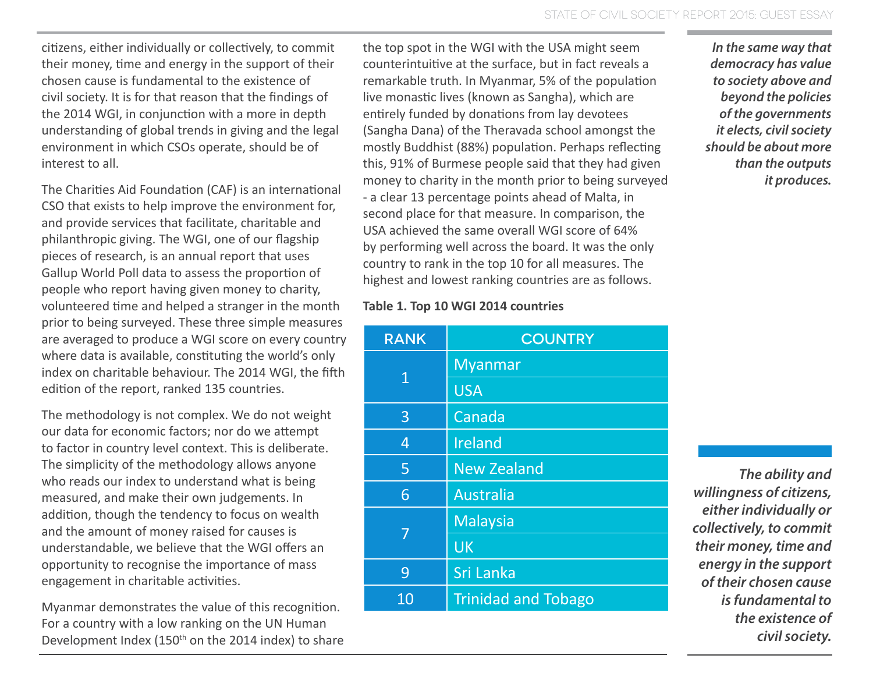citizens, either individually or collectively, to commit their money, time and energy in the support of their chosen cause is fundamental to the existence of civil society. It is for that reason that the findings of the 2014 WGI, in conjunction with a more in depth understanding of global trends in giving and the legal environment in which CSOs operate, should be of interest to all.

The Charities Aid Foundation (CAF) is an international CSO that exists to help improve the environment for, and provide services that facilitate, charitable and philanthropic giving. The WGI, one of our flagship pieces of research, is an annual report that uses Gallup World Poll data to assess the proportion of people who report having given money to charity, volunteered time and helped a stranger in the month prior to being surveyed. These three simple measures are averaged to produce a WGI score on every country where data is available, constituting the world's only index on charitable behaviour. The 2014 WGI, the fifth edition of the report, ranked 135 countries.

The methodology is not complex. We do not weight our data for economic factors; nor do we attempt to factor in country level context. This is deliberate. The simplicity of the methodology allows anyone who reads our index to understand what is being measured, and make their own judgements. In addition, though the tendency to focus on wealth and the amount of money raised for causes is understandable, we believe that the WGI offers an opportunity to recognise the importance of mass engagement in charitable activities.

Myanmar demonstrates the value of this recognition. For a country with a low ranking on the UN Human Development Index (150<sup>th</sup> on the 2014 index) to share the top spot in the WGI with the USA might seem counterintuitive at the surface, but in fact reveals a remarkable truth. In Myanmar, 5% of the population live monastic lives (known as Sangha), which are entirely funded by donations from lay devotees (Sangha Dana) of the Theravada school amongst the mostly Buddhist (88%) population. Perhaps reflecting this, 91% of Burmese people said that they had given money to charity in the month prior to being surveyed - a clear 13 percentage points ahead of Malta, in second place for that measure. In comparison, the USA achieved the same overall WGI score of 64% by performing well across the board. It was the only country to rank in the top 10 for all measures. The highest and lowest ranking countries are as follows.

#### **Table 1. Top 10 WGI 2014 countries**

| <b>RANK</b>     | <b>COUNTRY</b>             |
|-----------------|----------------------------|
| $\mathbf 1$     | <b>Myanmar</b>             |
|                 | <b>USA</b>                 |
| 3               | Canada                     |
| 4               | <b>Ireland</b>             |
| 5               | <b>New Zealand</b>         |
| 6               | Australia                  |
| 7               | <b>Malaysia</b>            |
|                 | <b>UK</b>                  |
| 9               | Sri Lanka                  |
| $\overline{1}0$ | <b>Trinidad and Tobago</b> |

*In the same way that democracy has value to society above and beyond the policies of the governments it elects, civil society should be about more than the outputs it produces.*

*The ability and willingness of citizens, either individually or collectively, to commit their money, time and energy in the support of their chosen cause is fundamental to the existence of civil society.*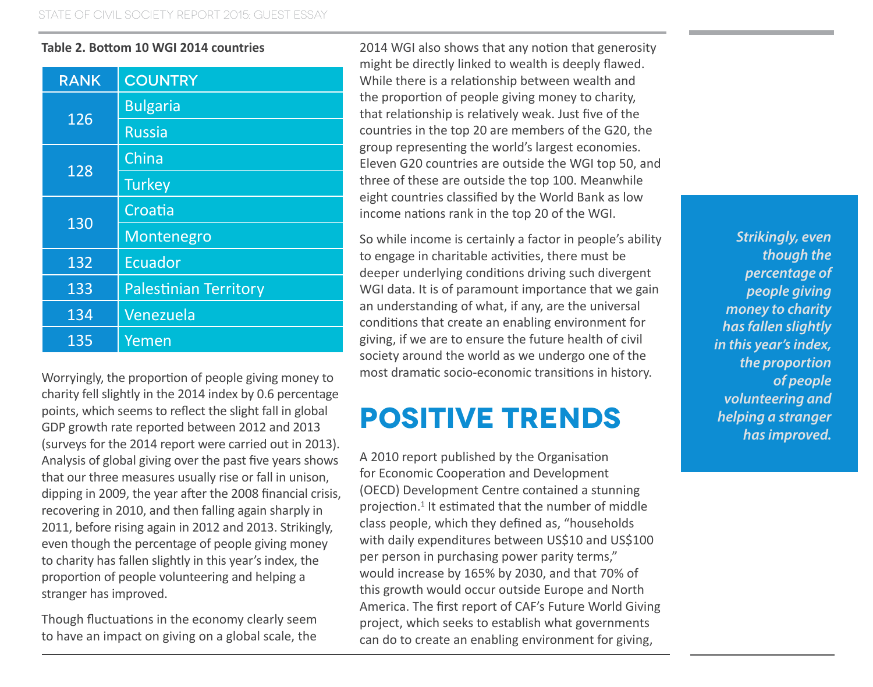#### **Table 2. Bottom 10 WGI 2014 countries**

| <b>RANK</b> | <b>COUNTRY</b>               |
|-------------|------------------------------|
| 126         | <b>Bulgaria</b>              |
|             | <b>Russia</b>                |
| 128         | China                        |
|             | <b>Turkey</b>                |
| 130         | Croatia                      |
|             | Montenegro                   |
| 132         | <b>Ecuador</b>               |
| 133         | <b>Palestinian Territory</b> |
| 134         | Venezuela                    |
| 135         | Yemen                        |

Worryingly, the proportion of people giving money to charity fell slightly in the 2014 index by 0.6 percentage points, which seems to reflect the slight fall in global GDP growth rate reported between 2012 and 2013 (surveys for the 2014 report were carried out in 2013). Analysis of global giving over the past five years shows that our three measures usually rise or fall in unison, dipping in 2009, the year after the 2008 financial crisis, recovering in 2010, and then falling again sharply in 2011, before rising again in 2012 and 2013. Strikingly, even though the percentage of people giving money to charity has fallen slightly in this year's index, the proportion of people volunteering and helping a stranger has improved.

Though fluctuations in the economy clearly seem to have an impact on giving on a global scale, the

2014 WGI also shows that any notion that generosity might be directly linked to wealth is deeply flawed. While there is a relationship between wealth and the proportion of people giving money to charity, that relationship is relatively weak. Just five of the countries in the top 20 are members of the G20, the group representing the world's largest economies. Eleven G20 countries are outside the WGI top 50, and three of these are outside the top 100. Meanwhile eight countries classified by the World Bank as low income nations rank in the top 20 of the WGI.

So while income is certainly a factor in people's ability to engage in charitable activities, there must be deeper underlying conditions driving such divergent WGI data. It is of paramount importance that we gain an understanding of what, if any, are the universal conditions that create an enabling environment for giving, if we are to ensure the future health of civil society around the world as we undergo one of the most dramatic socio-economic transitions in history.

## **Positive trends**

A 2010 report published by the Organisation for Economic Cooperation and Development (OECD) Development Centre contained a stunning projection.<sup>1</sup> It estimated that the number of middle class people, which they defined as, "households with daily expenditures between US\$10 and US\$100 per person in purchasing power parity terms," would increase by 165% by 2030, and that 70% of this growth would occur outside Europe and North America. The first report of CAF's Future World Giving project, which seeks to establish what governments can do to create an enabling environment for giving,

*Strikingly, even though the percentage of people giving money to charity has fallen slightly in this year's index, the proportion of people volunteering and helping a stranger has improved.*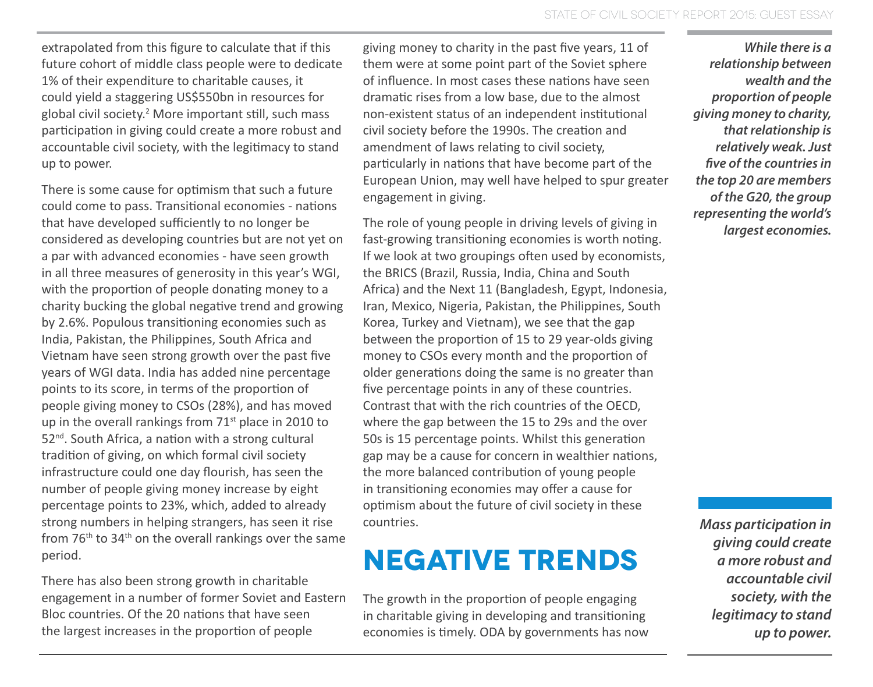extrapolated from this figure to calculate that if this future cohort of middle class people were to dedicate 1% of their expenditure to charitable causes, it could yield a staggering US\$550bn in resources for global civil society.<sup>2</sup> More important still, such mass participation in giving could create a more robust and accountable civil society, with the legitimacy to stand up to power.

There is some cause for optimism that such a future could come to pass. Transitional economies - nations that have developed sufficiently to no longer be considered as developing countries but are not yet on a par with advanced economies - have seen growth in all three measures of generosity in this year's WGI, with the proportion of people donating money to a charity bucking the global negative trend and growing by 2.6%. Populous transitioning economies such as India, Pakistan, the Philippines, South Africa and Vietnam have seen strong growth over the past five years of WGI data. India has added nine percentage points to its score, in terms of the proportion of people giving money to CSOs (28%), and has moved up in the overall rankings from  $71<sup>st</sup>$  place in 2010 to 52<sup>nd</sup>. South Africa, a nation with a strong cultural tradition of giving, on which formal civil society infrastructure could one day flourish, has seen the number of people giving money increase by eight percentage points to 23%, which, added to already strong numbers in helping strangers, has seen it rise from 76th to 34th on the overall rankings over the same period.

There has also been strong growth in charitable engagement in a number of former Soviet and Eastern Bloc countries. Of the 20 nations that have seen the largest increases in the proportion of people

giving money to charity in the past five years, 11 of them were at some point part of the Soviet sphere of influence. In most cases these nations have seen dramatic rises from a low base, due to the almost non-existent status of an independent institutional civil society before the 1990s. The creation and amendment of laws relating to civil society, particularly in nations that have become part of the European Union, may well have helped to spur greater engagement in giving.

The role of young people in driving levels of giving in fast-growing transitioning economies is worth noting. If we look at two groupings often used by economists, the BRICS (Brazil, Russia, India, China and South Africa) and the Next 11 (Bangladesh, Egypt, Indonesia, Iran, Mexico, Nigeria, Pakistan, the Philippines, South Korea, Turkey and Vietnam), we see that the gap between the proportion of 15 to 29 year-olds giving money to CSOs every month and the proportion of older generations doing the same is no greater than five percentage points in any of these countries. Contrast that with the rich countries of the OECD, where the gap between the 15 to 29s and the over 50s is 15 percentage points. Whilst this generation gap may be a cause for concern in wealthier nations, the more balanced contribution of young people in transitioning economies may offer a cause for optimism about the future of civil society in these countries.

### **Negative trends**

The growth in the proportion of people engaging in charitable giving in developing and transitioning economies is timely. ODA by governments has now

*While there is a relationship between wealth and the proportion of people giving money to charity, that relationship is relatively weak. Just five of the countries in the top 20 are members of the G20, the group representing the world's largest economies.*

*Mass participation in giving could create a more robust and accountable civil society, with the legitimacy to stand up to power.*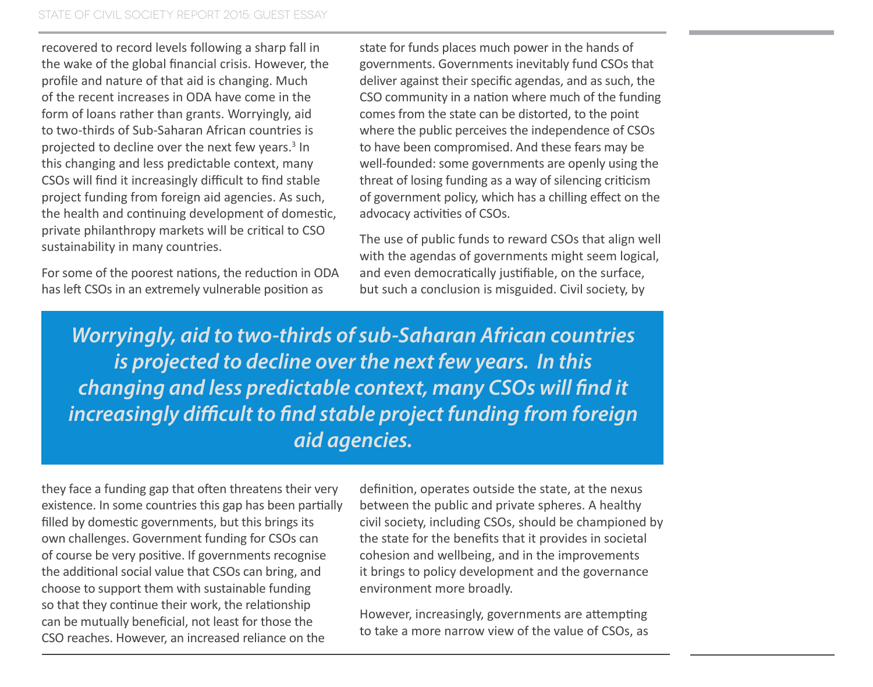recovered to record levels following a sharp fall in the wake of the global financial crisis. However, the profile and nature of that aid is changing. Much of the recent increases in ODA have come in the form of loans rather than grants. Worryingly, aid to two-thirds of Sub-Saharan African countries is projected to decline over the next few years. $3$  In this changing and less predictable context, many CSOs will find it increasingly difficult to find stable project funding from foreign aid agencies. As such, the health and continuing development of domestic, private philanthropy markets will be critical to CSO sustainability in many countries.

For some of the poorest nations, the reduction in ODA has left CSOs in an extremely vulnerable position as

state for funds places much power in the hands of governments. Governments inevitably fund CSOs that deliver against their specific agendas, and as such, the CSO community in a nation where much of the funding comes from the state can be distorted, to the point where the public perceives the independence of CSOs to have been compromised. And these fears may be well-founded: some governments are openly using the threat of losing funding as a way of silencing criticism of government policy, which has a chilling effect on the advocacy activities of CSOs.

The use of public funds to reward CSOs that align well with the agendas of governments might seem logical, and even democratically justifiable, on the surface, but such a conclusion is misguided. Civil society, by

*Worryingly, aid to two-thirds of sub-Saharan African countries is projected to decline over the next few years. In this changing and less predictable context, many CSOs will find it increasingly difficult to find stable project funding from foreign aid agencies.*

they face a funding gap that often threatens their very existence. In some countries this gap has been partially filled by domestic governments, but this brings its own challenges. Government funding for CSOs can of course be very positive. If governments recognise the additional social value that CSOs can bring, and choose to support them with sustainable funding so that they continue their work, the relationship can be mutually beneficial, not least for those the CSO reaches. However, an increased reliance on the

definition, operates outside the state, at the nexus between the public and private spheres. A healthy civil society, including CSOs, should be championed by the state for the benefits that it provides in societal cohesion and wellbeing, and in the improvements it brings to policy development and the governance environment more broadly.

However, increasingly, governments are attempting to take a more narrow view of the value of CSOs, as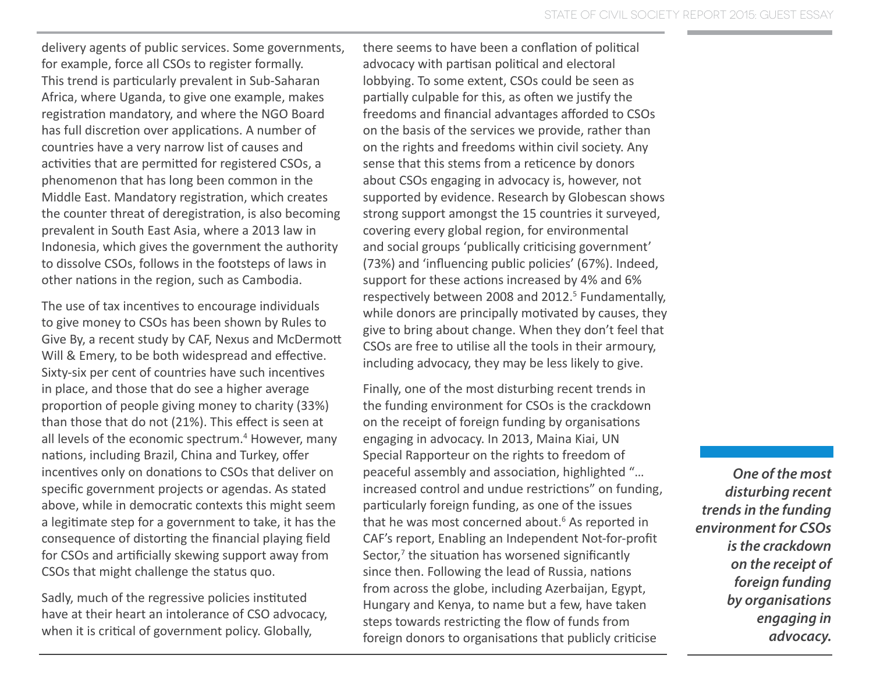delivery agents of public services. Some governments, for example, force all CSOs to register formally. This trend is particularly prevalent in Sub-Saharan Africa, where Uganda, to give one example, makes registration mandatory, and where the NGO Board has full discretion over applications. A number of countries have a very narrow list of causes and activities that are permitted for registered CSOs, a phenomenon that has long been common in the Middle East. Mandatory registration, which creates the counter threat of deregistration, is also becoming prevalent in South East Asia, where a 2013 law in Indonesia, which gives the government the authority to dissolve CSOs, follows in the footsteps of laws in other nations in the region, such as Cambodia.

The use of tax incentives to encourage individuals to give money to CSOs has been shown by Rules to Give By, a recent study by CAF, Nexus and McDermott Will & Emery, to be both widespread and effective. Sixty-six per cent of countries have such incentives in place, and those that do see a higher average proportion of people giving money to charity (33%) than those that do not (21%). This effect is seen at all levels of the economic spectrum.<sup>4</sup> However, many nations, including Brazil, China and Turkey, offer incentives only on donations to CSOs that deliver on specific government projects or agendas. As stated above, while in democratic contexts this might seem a legitimate step for a government to take, it has the consequence of distorting the financial playing field for CSOs and artificially skewing support away from CSOs that might challenge the status quo.

Sadly, much of the regressive policies instituted have at their heart an intolerance of CSO advocacy, when it is critical of government policy. Globally,

there seems to have been a conflation of political advocacy with partisan political and electoral lobbying. To some extent, CSOs could be seen as partially culpable for this, as often we justify the freedoms and financial advantages afforded to CSOs on the basis of the services we provide, rather than on the rights and freedoms within civil society. Any sense that this stems from a reticence by donors about CSOs engaging in advocacy is, however, not supported by evidence. Research by Globescan shows strong support amongst the 15 countries it surveyed, covering every global region, for environmental and social groups 'publically criticising government' (73%) and 'influencing public policies' (67%). Indeed, support for these actions increased by 4% and 6% respectively between 2008 and 2012.<sup>5</sup> Fundamentally, while donors are principally motivated by causes, they give to bring about change. When they don't feel that CSOs are free to utilise all the tools in their armoury, including advocacy, they may be less likely to give.

Finally, one of the most disturbing recent trends in the funding environment for CSOs is the crackdown on the receipt of foreign funding by organisations engaging in advocacy. In 2013, Maina Kiai, UN Special Rapporteur on the rights to freedom of peaceful assembly and association, highlighted "… increased control and undue restrictions" on funding, particularly foreign funding, as one of the issues that he was most concerned about.<sup>6</sup> As reported in CAF's report, Enabling an Independent Not-for-profit Sector,<sup>7</sup> the situation has worsened significantly since then. Following the lead of Russia, nations from across the globe, including Azerbaijan, Egypt, Hungary and Kenya, to name but a few, have taken steps towards restricting the flow of funds from foreign donors to organisations that publicly criticise

*One of the most disturbing recent trends in the funding environment for CSOs is the crackdown on the receipt of foreign funding by organisations engaging in advocacy.*